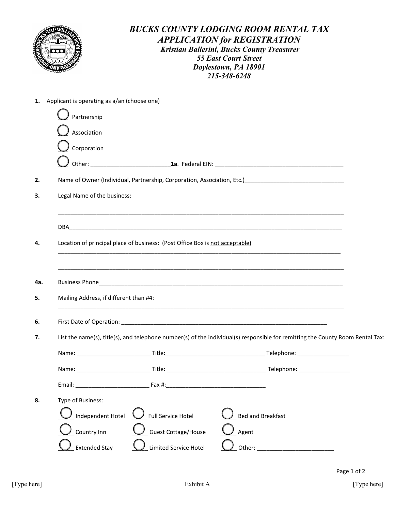

## *BUCKS COUNTY LODGING ROOM RENTAL TAX APPLICATION for REGISTRATION Kristian Ballerini, Bucks County Treasurer 55 East Court Street Doylestown, PA 18901 215-348-6248*

|     | 1. Applicant is operating as a/an (choose one) |                                                                              |                                                                                                                                                                                                                                      |  |
|-----|------------------------------------------------|------------------------------------------------------------------------------|--------------------------------------------------------------------------------------------------------------------------------------------------------------------------------------------------------------------------------------|--|
|     | Partnership                                    |                                                                              |                                                                                                                                                                                                                                      |  |
|     | Association                                    |                                                                              |                                                                                                                                                                                                                                      |  |
|     | $\sum$ Corporation                             |                                                                              |                                                                                                                                                                                                                                      |  |
|     |                                                |                                                                              |                                                                                                                                                                                                                                      |  |
| 2.  |                                                |                                                                              | Name of Owner (Individual, Partnership, Corporation, Association, Etc.)<br>1988. The Communication Communication and Communication and Communication and Communication and Communication                                             |  |
| 3.  | Legal Name of the business:                    |                                                                              |                                                                                                                                                                                                                                      |  |
|     |                                                |                                                                              |                                                                                                                                                                                                                                      |  |
| 4.  |                                                | Location of principal place of business: (Post Office Box is not acceptable) |                                                                                                                                                                                                                                      |  |
|     |                                                |                                                                              |                                                                                                                                                                                                                                      |  |
| 4a. |                                                |                                                                              | Business Phone <b>Contract Contract Contract Contract Contract Contract Contract Contract Contract Contract Contract Contract Contract Contract Contract Contract Contract Contract Contract Contract Contract Contract Contract</b> |  |
| 5.  | Mailing Address, if different than #4:         |                                                                              |                                                                                                                                                                                                                                      |  |
| 6.  |                                                |                                                                              |                                                                                                                                                                                                                                      |  |
| 7.  |                                                |                                                                              | List the name(s), title(s), and telephone number(s) of the individual(s) responsible for remitting the County Room Rental Tax:                                                                                                       |  |
|     |                                                |                                                                              |                                                                                                                                                                                                                                      |  |
|     |                                                |                                                                              |                                                                                                                                                                                                                                      |  |
|     | Email:                                         | Fax #:_________________                                                      |                                                                                                                                                                                                                                      |  |
| 8.  | Type of Business:                              |                                                                              |                                                                                                                                                                                                                                      |  |
|     | Independent Hotel                              | <b>Full Service Hotel</b>                                                    | <b>Bed and Breakfast</b>                                                                                                                                                                                                             |  |
|     | Country Inn                                    | Guest Cottage/House                                                          | Agent                                                                                                                                                                                                                                |  |
|     | <b>Extended Stay</b>                           | Limited Service Hotel                                                        | Other:                                                                                                                                                                                                                               |  |